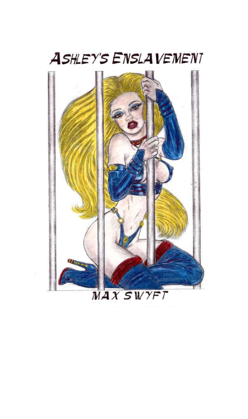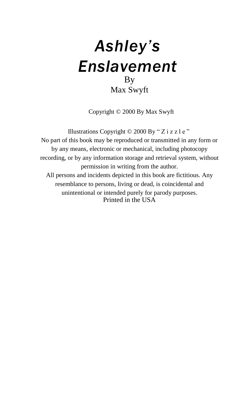## *Ashley's Enslavement* By Max Swyft

Copyright © 2000 By Max Swyft

Illustrations Copyright  $©$  2000 By "Z i z z l e " No part of this book may be reproduced or transmitted in any form or by any means, electronic or mechanical, including photocopy recording, or by any information storage and retrieval system, without permission in writing from the author. All persons and incidents depicted in this book are fictitious. Any resemblance to persons, living or dead, is coincidental and unintentional or intended purely for parody purposes. Printed in the USA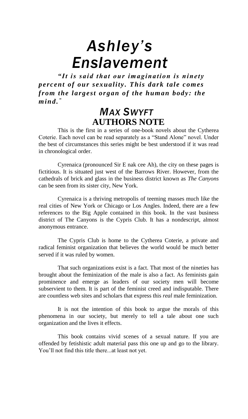# *Ashley's Enslavement*

*"It is said that our im agination is ninety percent of our sexuality. This dark tale com es from the largest organ of the hum an body: the m ind. "*

### *MAX SWYFT* **AUTHORS NOTE**

This is the first in a series of one-book novels about the Cytherea Coterie. Each novel can be read separately as a "Stand Alone" novel. Under the best of circumstances this series might be best understood if it was read in chronological order.

Cyrenaica (pronounced Sir E nak cee Ah), the city on these pages is fictitious. It is situated just west of the Barrows River. However, from the cathedrals of brick and glass in the business district known as *The Canyons* can be seen from its sister city, New York.

Cyrenaica is a thriving metropolis of teeming masses much like the real cities of New York or Chicago or Los Angles. Indeed, there are a few references to the Big Apple contained in this book. In the vast business district of The Canyons is the Cypris Club. It has a nondescript, almost anonymous entrance.

The Cypris Club is home to the Cytherea Coterie, a private and radical feminist organization that believes the world would be much better served if it was ruled by women.

That such organizations exist is a fact. That most of the nineties has brought about the feminization of the male is also a fact. As feminists gain prominence and emerge as leaders of our society men will become subservient to them. It is part of the feminist creed and indisputable. There are countless web sites and scholars that express this *real* male feminization.

It is not the intention of this book to argue the morals of this phenomena in our society, but merely to tell a tale about one such organization and the lives it effects.

This book contains vivid scenes of a sexual nature. If you are offended by fetishistic adult material pass this one up and go to the library. You'll not find this title there...at least not yet.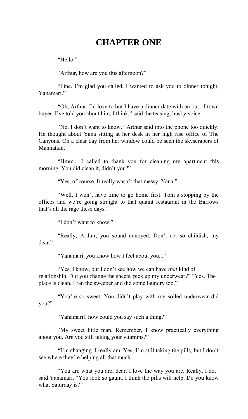#### **CHAPTER ONE**

"Hello."

"Arthur, how are you this afternoon?"

"Fine. I'm glad you called. I wanted to ask you to dinner tonight, Yanamari<sup>"</sup>

"Oh, Arthur. I'd love to but I have a dinner date with an out of town buyer. I've told you about him, I think," said the teasing, husky voice.

"No, I don't want to know," Arthur said into the phone too quickly. He thought about Yana sitting at her desk in her high rise office of The Canyons. On a clear day from her window could be seen the skyscrapers of Manhattan.

"Hmm... I called to thank you for cleaning my apartment this morning. You did clean it, didn't you?"

"Yes, of course. It really wasn't that messy, Yana."

"Well, I won't have time to go home first. Tom's stopping by the offices and we're going straight to that quaint restaurant in the Barrows that's all the rage these days."

"I don't want to know."

"Really, Arthur, you sound annoyed. Don't act so childish, my dear."

"Yanamari, you know how I feel about you..."

"Yes, I know, but I don't see how we can have *that* kind of relationship. Did you change the sheets, pick up my underwear?" "Yes. The place is clean. I ran the sweeper and did some laundry too."

"You're so sweet. You didn't play with my soiled underwear did you?"

"Yanamari!, how could you say such a thing?"

"My sweet little man. Remember, I know practically everything about you. Are you still taking your vitamins?"

"I'm changing. I really am. Yes, I'm still taking the pills, but I don't see where they're helping all that much.

"You are what you are, dear. I love the way you are. Really, I do," said Yanamari. "You look so gaunt. I think the pills will help. Do you know what Saturday is?"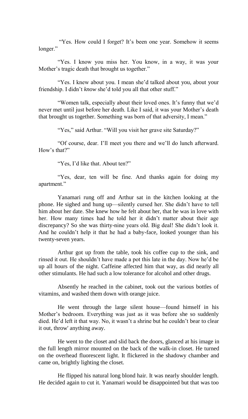"Yes. How could I forget? It's been one year. Somehow it seems longer."

"Yes. I know you miss her. You know, in a way, it was your Mother's tragic death that brought us together."

"Yes. I knew about you. I mean she'd talked about you, about your friendship. I didn't *know* she'd told you all that other stuff."

"Women talk, especially about their loved ones. It's funny that we'd never met until just before her death. Like I said, it was your Mother's death that brought us together. Something was born of that adversity, I mean."

"Yes," said Arthur. "Will you visit her grave site Saturday?"

"Of course, dear. I'll meet you there and we'll do lunch afterward. How's that?"

"Yes, I'd like that. About ten?"

"Yes, dear, ten will be fine. And thanks again for doing my apartment."

Yanamari rung off and Arthur sat in the kitchen looking at the phone. He sighed and hung up—silently cursed her. She didn't have to tell him about her date. She knew how he felt about her, that he was in love with her. How many times had he told her it didn't matter about their age discrepancy? So she was thirty-nine years old. Big deal! She didn't look it. And he couldn't help it that he had a baby-face, looked younger than his twenty-seven years.

Arthur got up from the table, took his coffee cup to the sink, and rinsed it out. He shouldn't have made a pot this late in the day. Now he'd be up all hours of the night. Caffeine affected him that way, as did nearly all other stimulants. He had such a low tolerance for alcohol and other drugs.

Absently he reached in the cabinet, took out the various bottles of vitamins, and washed them down with orange juice.

He went through the large silent house—found himself in his Mother's bedroom. Everything was just as it was before she so suddenly died. He'd left it that way. No, it wasn't a shrine but he couldn't bear to clear it out, throw' anything away.

He went to the closet and slid back the doors, glanced at his image in the full length mirror mounted on the back of the walk-in closet. He turned on the overhead fluorescent light. It flickered in the shadowy chamber and came on, brightly lighting the closet.

He flipped his natural long blond hair. It was nearly shoulder length. He decided again to cut it. Yanamari would be disappointed but that was too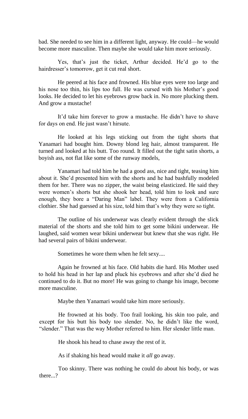bad. She needed to see him in a different light, anyway. He could—he would become more masculine. Then maybe she would take him more seriously.

Yes, that's just the ticket, Arthur decided. He'd go to the hairdresser's tomorrow, get it cut real short.

He peered at his face and frowned. His blue eyes were too large and his nose too thin, his lips too full. He was cursed with his Mother's good looks. He decided to let his eyebrows grow back in. No more plucking them. And grow a mustache!

It'd take him forever to grow a mustache. He didn't have to shave for days on end. He just wasn't hirsute.

He looked at his legs sticking out from the tight shorts that Yanamari had bought him. Downy blond leg hair, almost transparent. He turned and looked at his butt. Too round. It filled out the tight satin shorts, a boyish ass, not flat like some of the runway models,

Yanamari had told him he had a good ass, nice and tight, teasing him about it. She'd presented him with the shorts and he had bashfully modeled them for her. There was no zipper, the waist being elasticized. He said they were women's shorts but she shook her head, told him to look and sure enough, they bore a "Daring Man" label. They were from a California clothier. She had guessed at his size, told him that's why they were so tight.

The outline of his underwear was clearly evident through the slick material of the shorts and she told him to get some bikini underwear. He laughed, said women wear bikini underwear but knew that she was right. He had several pairs of bikini underwear.

Sometimes he wore them when he felt sexy....

Again he frowned at his face. Old habits die hard. His Mother used to hold his head in her lap and pluck his eyebrows and after she'd died he continued to do it. But no more! He was going to change his image, become more masculine.

Maybe then Yanamari would take him more seriously.

He frowned at his body. Too frail looking, his skin too pale, and except for his butt his body too slender. No, he didn't like the word, "slender." That was the way Mother referred to him. Her slender little man.

He shook his head to chase away the rest of it.

As if shaking his head would make it *all* go away.

Too skinny. There was nothing he could do about his body, or was there...?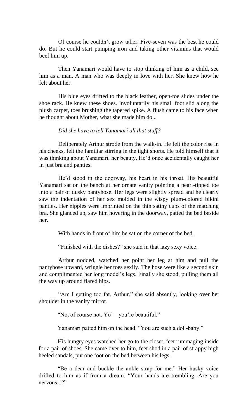Of course he couldn't grow taller. Five-seven was the best he could do. But he could start pumping iron and taking other vitamins that would beef him up.

Then Yanamari would have to stop thinking of him as a child, see him as a man. A man who was deeply in love with her. She knew how he felt about her.

His blue eyes drifted to the black leather, open-toe slides under the shoe rack. He knew these shoes. Involuntarily his small foot slid along the plush carpet, toes brushing the tapered spike. A flush came to his face when he thought about Mother, what she made him do...

#### *Did she have to tell Yanamari all that stuff?*

Deliberately Arthur strode from the walk-in. He felt the color rise in his cheeks, felt the familiar stirring in the tight shorts. He told himself that it was thinking about Yanamari, her beauty. He'd once accidentally caught her in just bra and panties.

He'd stood in the doorway, his heart in his throat. His beautiful Yanamari sat on the bench at her ornate vanity pointing a pearl-tipped toe into a pair of dusky pantyhose. Her legs were slightly spread and he clearly saw the indentation of her sex molded in the wispy plum-colored bikini panties. Her nipples were imprinted on the thin satiny cups of the matching bra. She glanced up, saw him hovering in the doorway, patted the bed beside her.

With hands in front of him he sat on the corner of the bed.

"Finished with the dishes?" she said in that lazy sexy voice.

Arthur nodded, watched her point her leg at him and pull the pantyhose upward, wriggle her toes sexily. The hose were like a second skin and complimented her long model's legs. Finally she stood, pulling them all the way up around flared hips.

"Am I getting too fat, Arthur," she said absently, looking over her shoulder in the vanity mirror.

"No, of course not. Yo'—you're beautiful."

Yanamari patted him on the head. "You are such a doll-baby."

His hungry eyes watched her go to the closet, feet rummaging inside for a pair of shoes. She came over to him, feet shod in a pair of strappy high heeled sandals, put one foot on the bed between his legs.

"Be a dear and buckle the ankle strap for me." Her husky voice drifted to him as if from a dream. "Your hands are trembling. Are you nervous.<sup>?"</sup>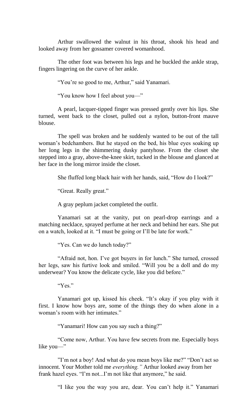Arthur swallowed the walnut in his throat, shook his head and looked away from her gossamer covered womanhood.

The other foot was between his legs and he buckled the ankle strap, fingers lingering on the curve of her ankle.

"You're so good to me, Arthur," said Yanamari.

"You know how I feel about you—"

A pearl, lacquer-tipped finger was pressed gently over his lips. She turned, went back to the closet, pulled out a nylon, button-front mauve blouse.

The spell was broken and he suddenly wanted to be out of the tall woman's bedchambers. But he stayed on the bed, his blue eyes soaking up her long legs in the shimmering dusky pantyhose. From the closet she stepped into a gray, above-the-knee skirt, tucked in the blouse and glanced at her face in the long mirror inside the closet.

She fluffed long black hair with her hands, said, "How do I look?"

"Great. Really great."

A gray peplum jacket completed the outfit.

Yanamari sat at the vanity, put on pearl-drop earrings and a matching necklace, sprayed perfume at her neck and behind her ears. She put on a watch, looked at it. "I must be going or I'll be late for work."

"Yes. Can we do lunch today?"

"Afraid not, hon. I've got buyers in for lunch." She turned, crossed her legs, saw his furtive look and smiled. "Will you be a doll and do my underwear? You know the delicate cycle, like you did before."

"Yes."

Yanamari got up, kissed his cheek. "It's okay if you play with it first. I know how boys are, some of the things they do when alone in a woman's room with her intimates."

"Yanamari! How can you say such a thing?"

"Come now, Arthur. You have few secrets from me. Especially boys like you—"

"I'm not a boy! And what do you mean boys like me?" "Don't act so innocent. Your Mother told me *everything."* Arthur looked away from her frank hazel eyes. "I'm not...I'm not like that anymore," he said.

"I like you the way you are, dear. You can't help it." Yanamari